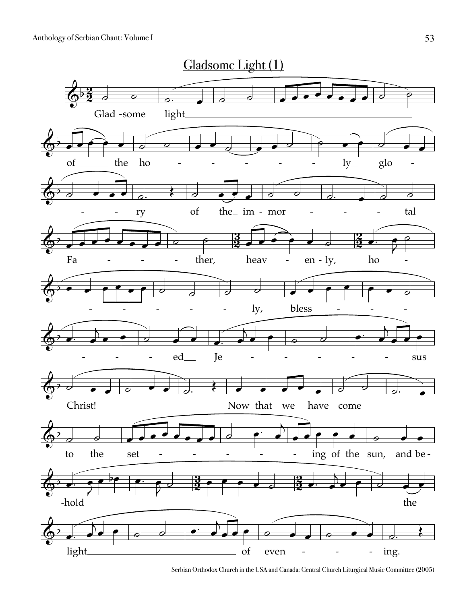

Serbian Orthodox Church in the USA and Canada: Central Church Liturgical Music Committee (2005)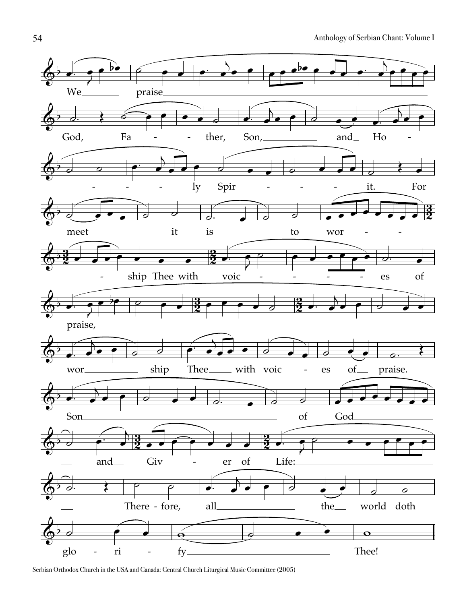

Serbian Orthodox Church in the USA and Canada: Central Church Liturgical Music Committee (2005)